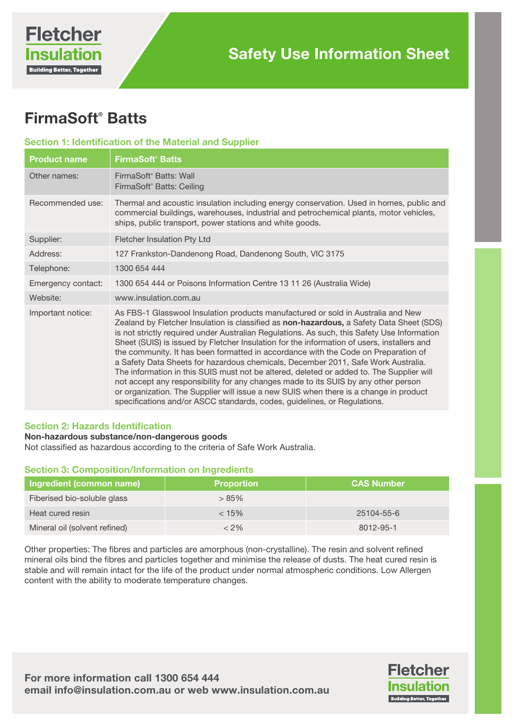# FirmaSoft® Batts

# Section 1: Identification of the Material and Supplier

| <b>Product name</b> | <b>FirmaSoft<sup>®</sup> Batts</b>                                                                                                                                                                                                                                                                                                                                                                                                                                                                                                                                                                                                                                                                                                                                                                                                                                                                          |
|---------------------|-------------------------------------------------------------------------------------------------------------------------------------------------------------------------------------------------------------------------------------------------------------------------------------------------------------------------------------------------------------------------------------------------------------------------------------------------------------------------------------------------------------------------------------------------------------------------------------------------------------------------------------------------------------------------------------------------------------------------------------------------------------------------------------------------------------------------------------------------------------------------------------------------------------|
| Other names:        | FirmaSoft <sup>®</sup> Batts: Wall<br>FirmaSoft® Batts: Ceiling                                                                                                                                                                                                                                                                                                                                                                                                                                                                                                                                                                                                                                                                                                                                                                                                                                             |
| Recommended use:    | Thermal and acoustic insulation including energy conservation. Used in homes, public and<br>commercial buildings, warehouses, industrial and petrochemical plants, motor vehicles,<br>ships, public transport, power stations and white goods.                                                                                                                                                                                                                                                                                                                                                                                                                                                                                                                                                                                                                                                              |
| Supplier:           | Fletcher Insulation Pty Ltd                                                                                                                                                                                                                                                                                                                                                                                                                                                                                                                                                                                                                                                                                                                                                                                                                                                                                 |
| Address:            | 127 Frankston-Dandenong Road, Dandenong South, VIC 3175                                                                                                                                                                                                                                                                                                                                                                                                                                                                                                                                                                                                                                                                                                                                                                                                                                                     |
| Telephone:          | 1300 654 444                                                                                                                                                                                                                                                                                                                                                                                                                                                                                                                                                                                                                                                                                                                                                                                                                                                                                                |
| Emergency contact:  | 1300 654 444 or Poisons Information Centre 13 11 26 (Australia Wide)                                                                                                                                                                                                                                                                                                                                                                                                                                                                                                                                                                                                                                                                                                                                                                                                                                        |
| Website:            | www.insulation.com.au                                                                                                                                                                                                                                                                                                                                                                                                                                                                                                                                                                                                                                                                                                                                                                                                                                                                                       |
| Important notice:   | As FBS-1 Glasswool Insulation products manufactured or sold in Australia and New<br>Zealand by Fletcher Insulation is classified as non-hazardous, a Safety Data Sheet (SDS)<br>is not strictly required under Australian Regulations. As such, this Safety Use Information<br>Sheet (SUIS) is issued by Fletcher Insulation for the information of users, installers and<br>the community. It has been formatted in accordance with the Code on Preparation of<br>a Safety Data Sheets for hazardous chemicals, December 2011, Safe Work Australia.<br>The information in this SUIS must not be altered, deleted or added to. The Supplier will<br>not accept any responsibility for any changes made to its SUIS by any other person<br>or organization. The Supplier will issue a new SUIS when there is a change in product<br>specifications and/or ASCC standards, codes, guidelines, or Regulations. |

#### Section 2: Hazards Identification

## Non-hazardous substance/non-dangerous goods

Not classified as hazardous according to the criteria of Safe Work Australia.

# Section 3: Composition/Information on Ingredients

| Ingredient (common name)      | <b>Proportion</b> | <b>CAS Number</b> |
|-------------------------------|-------------------|-------------------|
| Fiberised bio-soluble glass   | >85%              |                   |
| Heat cured resin              | < 15%             | 25104-55-6        |
| Mineral oil (solvent refined) | $<$ 2%            | 8012-95-1         |

Other properties: The fibres and particles are amorphous (non-crystalline). The resin and solvent refined mineral oils bind the fibres and particles together and minimise the release of dusts. The heat cured resin is stable and will remain intact for the life of the product under normal atmospheric conditions. Low Allergen content with the ability to moderate temperature changes.

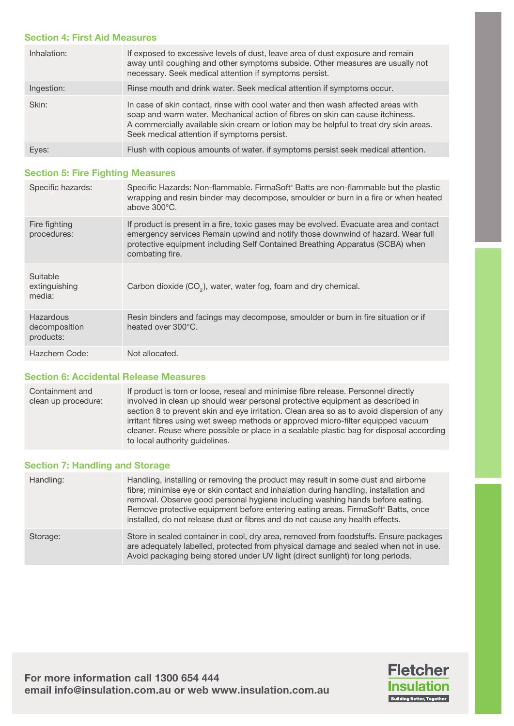### Section 4: First Aid Measures

| Inhalation: | If exposed to excessive levels of dust, leave area of dust exposure and remain<br>away until coughing and other symptoms subside. Other measures are usually not<br>necessary. Seek medical attention if symptoms persist.                                                                                |
|-------------|-----------------------------------------------------------------------------------------------------------------------------------------------------------------------------------------------------------------------------------------------------------------------------------------------------------|
| Ingestion:  | Rinse mouth and drink water. Seek medical attention if symptoms occur.                                                                                                                                                                                                                                    |
| Skin:       | In case of skin contact, rinse with cool water and then wash affected areas with<br>soap and warm water. Mechanical action of fibres on skin can cause itchiness.<br>A commercially available skin cream or lotion may be helpful to treat dry skin areas.<br>Seek medical attention if symptoms persist. |
| Eyes:       | Flush with copious amounts of water. if symptoms persist seek medical attention.                                                                                                                                                                                                                          |

## Section 5: Fire Fighting Measures

| Specific hazards:                       | Specific Hazards: Non-flammable. FirmaSoft® Batts are non-flammable but the plastic<br>wrapping and resin binder may decompose, smoulder or burn in a fire or when heated<br>above $300^{\circ}$ C.                                                                           |
|-----------------------------------------|-------------------------------------------------------------------------------------------------------------------------------------------------------------------------------------------------------------------------------------------------------------------------------|
| Fire fighting<br>procedures:            | If product is present in a fire, toxic gases may be evolved. Evacuate area and contact<br>emergency services Remain upwind and notify those downwind of hazard. Wear full<br>protective equipment including Self Contained Breathing Apparatus (SCBA) when<br>combating fire. |
| Suitable<br>extinguishing<br>media:     | Carbon dioxide (CO <sub>2</sub> ), water, water fog, foam and dry chemical.                                                                                                                                                                                                   |
| Hazardous<br>decomposition<br>products: | Resin binders and facings may decompose, smoulder or burn in fire situation or if<br>heated over 300°C.                                                                                                                                                                       |
| Hazchem Code:                           | Not allocated.                                                                                                                                                                                                                                                                |

# Section 6: Accidental Release Measures

Containment and clean up procedure: If product is torn or loose, reseal and minimise fibre release. Personnel directly involved in clean up should wear personal protective equipment as described in section 8 to prevent skin and eye irritation. Clean area so as to avoid dispersion of any irritant fibres using wet sweep methods or approved micro-filter equipped vacuum cleaner. Reuse where possible or place in a sealable plastic bag for disposal according to local authority guidelines.

### Section 7: Handling and Storage

| Handling: | Handling, installing or removing the product may result in some dust and airborne<br>fibre; minimise eye or skin contact and inhalation during handling, installation and<br>removal. Observe good personal hygiene including washing hands before eating.<br>Remove protective equipment before entering eating areas. FirmaSoft® Batts, once<br>installed, do not release dust or fibres and do not cause any health effects. |
|-----------|---------------------------------------------------------------------------------------------------------------------------------------------------------------------------------------------------------------------------------------------------------------------------------------------------------------------------------------------------------------------------------------------------------------------------------|
| Storage:  | Store in sealed container in cool, dry area, removed from foodstuffs. Ensure packages<br>are adequately labelled, protected from physical damage and sealed when not in use.<br>Avoid packaging being stored under UV light (direct sunlight) for long periods.                                                                                                                                                                 |

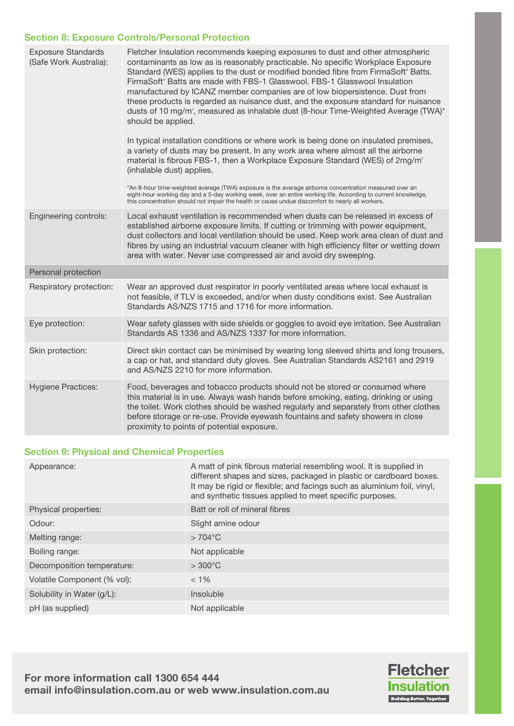## Section 8: Exposure Controls/Personal Protection

| <b>Exposure Standards</b><br>(Safe Work Australia): | Fletcher Insulation recommends keeping exposures to dust and other atmospheric<br>contaminants as low as is reasonably practicable. No specific Workplace Exposure<br>Standard (WES) applies to the dust or modified bonded fibre from FirmaSoft® Batts.<br>FirmaSoft® Batts are made with FBS-1 Glasswool. FBS-1 Glasswool Insulation<br>manufactured by ICANZ member companies are of low biopersistence. Dust from<br>these products is regarded as nuisance dust, and the exposure standard for nuisance<br>dusts of 10 mg/m <sup>3</sup> , measured as inhalable dust (8-hour Time-Weighted Average (TWA) <sup>*</sup><br>should be applied.<br>In typical installation conditions or where work is being done on insulated premises,<br>a variety of dusts may be present. In any work area where almost all the airborne<br>material is fibrous FBS-1, then a Workplace Exposure Standard (WES) of 2mg/m <sup>®</sup><br>(inhalable dust) applies.<br>*An 8-hour time-weighted average (TWA) exposure is the average airborne concentration measured over an<br>eight-hour working day and a 5-day working week, over an entire working life. According to current knowledge,<br>this concentration should not impair the health or cause undue discomfort to nearly all workers. |
|-----------------------------------------------------|------------------------------------------------------------------------------------------------------------------------------------------------------------------------------------------------------------------------------------------------------------------------------------------------------------------------------------------------------------------------------------------------------------------------------------------------------------------------------------------------------------------------------------------------------------------------------------------------------------------------------------------------------------------------------------------------------------------------------------------------------------------------------------------------------------------------------------------------------------------------------------------------------------------------------------------------------------------------------------------------------------------------------------------------------------------------------------------------------------------------------------------------------------------------------------------------------------------------------------------------------------------------------------------|
| Engineering controls:                               | Local exhaust ventilation is recommended when dusts can be released in excess of<br>established airborne exposure limits. If cutting or trimming with power equipment,<br>dust collectors and local ventilation should be used. Keep work area clean of dust and<br>fibres by using an industrial vacuum cleaner with high efficiency filter or wetting down<br>area with water. Never use compressed air and avoid dry sweeping.                                                                                                                                                                                                                                                                                                                                                                                                                                                                                                                                                                                                                                                                                                                                                                                                                                                        |
| Personal protection                                 |                                                                                                                                                                                                                                                                                                                                                                                                                                                                                                                                                                                                                                                                                                                                                                                                                                                                                                                                                                                                                                                                                                                                                                                                                                                                                          |
| Respiratory protection:                             | Wear an approved dust respirator in poorly ventilated areas where local exhaust is<br>not feasible, if TLV is exceeded, and/or when dusty conditions exist. See Australian<br>Standards AS/NZS 1715 and 1716 for more information.                                                                                                                                                                                                                                                                                                                                                                                                                                                                                                                                                                                                                                                                                                                                                                                                                                                                                                                                                                                                                                                       |
| Eye protection:                                     | Wear safety glasses with side shields or goggles to avoid eye irritation. See Australian<br>Standards AS 1336 and AS/NZS 1337 for more information.                                                                                                                                                                                                                                                                                                                                                                                                                                                                                                                                                                                                                                                                                                                                                                                                                                                                                                                                                                                                                                                                                                                                      |
| Skin protection:                                    | Direct skin contact can be minimised by wearing long sleeved shirts and long trousers,<br>a cap or hat, and standard duty gloves. See Australian Standards AS2161 and 2919<br>and AS/NZS 2210 for more information.                                                                                                                                                                                                                                                                                                                                                                                                                                                                                                                                                                                                                                                                                                                                                                                                                                                                                                                                                                                                                                                                      |
| <b>Hygiene Practices:</b>                           | Food, beverages and tobacco products should not be stored or consumed where<br>this material is in use. Always wash hands before smoking, eating, drinking or using<br>the toilet. Work clothes should be washed regularly and separately from other clothes<br>before storage or re-use. Provide eyewash fountains and safety showers in close<br>proximity to points of potential exposure.                                                                                                                                                                                                                                                                                                                                                                                                                                                                                                                                                                                                                                                                                                                                                                                                                                                                                            |

# Section 9: Physical and Chemical Properties

| Appearance:                 | A matt of pink fibrous material resembling wool. It is supplied in<br>different shapes and sizes, packaged in plastic or cardboard boxes.<br>It may be rigid or flexible; and facings such as aluminium foil, vinyl,<br>and synthetic tissues applied to meet specific purposes. |
|-----------------------------|----------------------------------------------------------------------------------------------------------------------------------------------------------------------------------------------------------------------------------------------------------------------------------|
| Physical properties:        | Batt or roll of mineral fibres                                                                                                                                                                                                                                                   |
| Odour:                      | Slight amine odour                                                                                                                                                                                                                                                               |
| Melting range:              | $>704^{\circ}$ C                                                                                                                                                                                                                                                                 |
| Boiling range:              | Not applicable                                                                                                                                                                                                                                                                   |
| Decomposition temperature:  | $>300^{\circ}$ C                                                                                                                                                                                                                                                                 |
| Volatile Component (% vol): | $< 1\%$                                                                                                                                                                                                                                                                          |
| Solubility in Water (g/L):  | Insoluble                                                                                                                                                                                                                                                                        |
| pH (as supplied)            | Not applicable                                                                                                                                                                                                                                                                   |

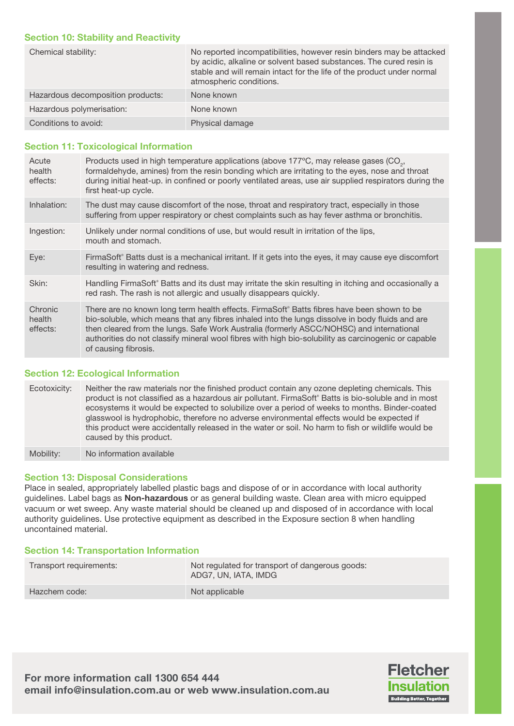## Section 10: Stability and Reactivity

| Chemical stability:               | No reported incompatibilities, however resin binders may be attacked<br>by acidic, alkaline or solvent based substances. The cured resin is<br>stable and will remain intact for the life of the product under normal<br>atmospheric conditions. |
|-----------------------------------|--------------------------------------------------------------------------------------------------------------------------------------------------------------------------------------------------------------------------------------------------|
| Hazardous decomposition products: | None known                                                                                                                                                                                                                                       |
| Hazardous polymerisation:         | None known                                                                                                                                                                                                                                       |
| Conditions to avoid:              | Physical damage                                                                                                                                                                                                                                  |

# Section 11: Toxicological Information

| Acute<br>health<br>effects:   | Products used in high temperature applications (above 177°C, may release gases (CO <sub>2</sub> ,<br>formaldehyde, amines) from the resin bonding which are irritating to the eyes, nose and throat<br>during initial heat-up. in confined or poorly ventilated areas, use air supplied respirators during the<br>first heat-up cycle.                                                                                   |
|-------------------------------|--------------------------------------------------------------------------------------------------------------------------------------------------------------------------------------------------------------------------------------------------------------------------------------------------------------------------------------------------------------------------------------------------------------------------|
| Inhalation:                   | The dust may cause discomfort of the nose, throat and respiratory tract, especially in those<br>suffering from upper respiratory or chest complaints such as hay fever asthma or bronchitis.                                                                                                                                                                                                                             |
| Ingestion:                    | Unlikely under normal conditions of use, but would result in irritation of the lips,<br>mouth and stomach.                                                                                                                                                                                                                                                                                                               |
| Eye:                          | FirmaSoft® Batts dust is a mechanical irritant. If it gets into the eyes, it may cause eye discomfort<br>resulting in watering and redness.                                                                                                                                                                                                                                                                              |
| Skin:                         | Handling FirmaSoft® Batts and its dust may irritate the skin resulting in itching and occasionally a<br>red rash. The rash is not allergic and usually disappears quickly.                                                                                                                                                                                                                                               |
| Chronic<br>health<br>effects: | There are no known long term health effects. FirmaSoft® Batts fibres have been shown to be<br>bio-soluble, which means that any fibres inhaled into the lungs dissolve in body fluids and are<br>then cleared from the lungs. Safe Work Australia (formerly ASCC/NOHSC) and international<br>authorities do not classify mineral wool fibres with high bio-solubility as carcinogenic or capable<br>of causing fibrosis. |

# Section 12: Ecological Information

Ecotoxicity: Neither the raw materials nor the finished product contain any ozone depleting chemicals. This product is not classified as a hazardous air pollutant. FirmaSoft® Batts is bio-soluble and in most ecosystems it would be expected to solubilize over a period of weeks to months. Binder-coated glasswool is hydrophobic, therefore no adverse environmental effects would be expected if this product were accidentally released in the water or soil. No harm to fish or wildlife would be caused by this product.

Mobility: No information available

# Section 13: Disposal Considerations

Place in sealed, appropriately labelled plastic bags and dispose of or in accordance with local authority guidelines. Label bags as Non-hazardous or as general building waste. Clean area with micro equipped vacuum or wet sweep. Any waste material should be cleaned up and disposed of in accordance with local authority guidelines. Use protective equipment as described in the Exposure section 8 when handling uncontained material.

#### Section 14: Transportation Information

| Transport requirements: | Not regulated for transport of dangerous goods:<br>ADG7, UN, IATA, IMDG |
|-------------------------|-------------------------------------------------------------------------|
| Hazchem code:           | Not applicable                                                          |